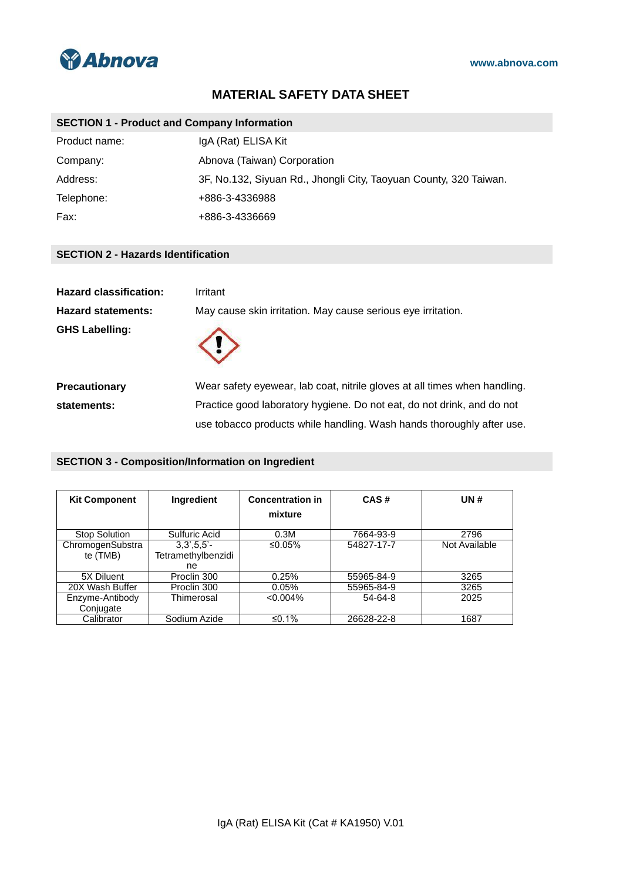

# **MATERIAL SAFETY DATA SHEET**

## **SECTION 1 - Product and Company Information**

| Product name: | IgA (Rat) ELISA Kit                                               |
|---------------|-------------------------------------------------------------------|
| Company:      | Abnova (Taiwan) Corporation                                       |
| Address:      | 3F, No.132, Siyuan Rd., Jhongli City, Taoyuan County, 320 Taiwan. |
| Telephone:    | +886-3-4336988                                                    |
| Fax:          | +886-3-4336669                                                    |

### **SECTION 2 - Hazards Identification**

| <b>Hazard classification:</b> | Irritant                                                                  |  |
|-------------------------------|---------------------------------------------------------------------------|--|
| <b>Hazard statements:</b>     | May cause skin irritation. May cause serious eye irritation.              |  |
| <b>GHS Labelling:</b>         |                                                                           |  |
| <b>Precautionary</b>          | Wear safety eyewear, lab coat, nitrile gloves at all times when handling. |  |
| statements:                   | Practice good laboratory hygiene. Do not eat, do not drink, and do not    |  |
|                               | use tobacco products while handling. Wash hands thoroughly after use.     |  |

### **SECTION 3 - Composition/Information on Ingredient**

| <b>Kit Component</b>         | <b>Ingredient</b>                          | <b>Concentration in</b><br>mixture | CAS#       | UN#           |
|------------------------------|--------------------------------------------|------------------------------------|------------|---------------|
| <b>Stop Solution</b>         | Sulfuric Acid                              | 0.3M                               | 7664-93-9  | 2796          |
| ChromogenSubstra<br>te (TMB) | $3.3' .5.5' -$<br>Tetramethylbenzidi<br>ne | ≤0.05%                             | 54827-17-7 | Not Available |
| 5X Diluent                   | Proclin 300                                | 0.25%                              | 55965-84-9 | 3265          |
| 20X Wash Buffer              | Proclin 300                                | 0.05%                              | 55965-84-9 | 3265          |
| Enzyme-Antibody<br>Conjugate | Thimerosal                                 | $< 0.004\%$                        | 54-64-8    | 2025          |
| Calibrator                   | Sodium Azide                               | ≤0.1%                              | 26628-22-8 | 1687          |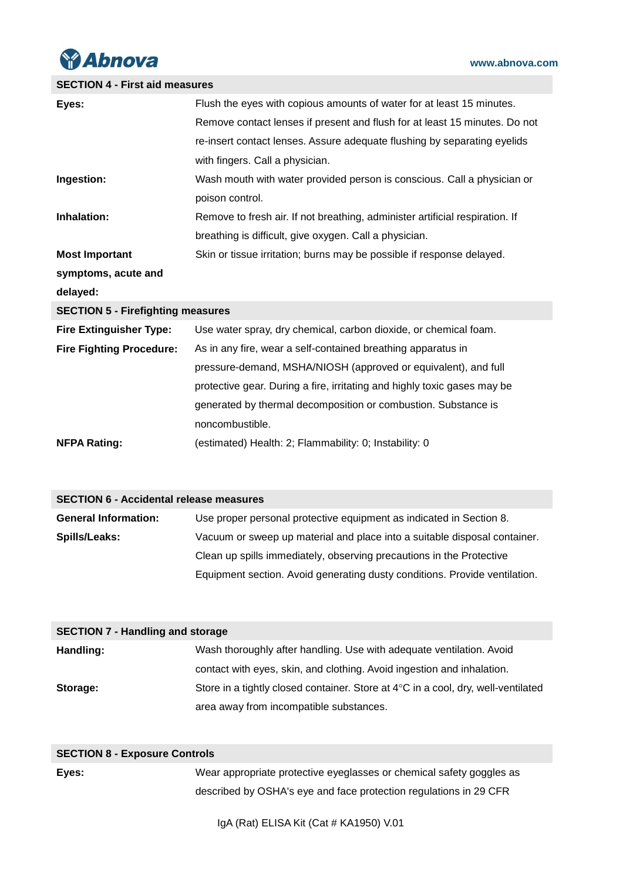

# **SECTION 4 - First aid measures**

| Eyes:                                          | Flush the eyes with copious amounts of water for at least 15 minutes.        |
|------------------------------------------------|------------------------------------------------------------------------------|
|                                                | Remove contact lenses if present and flush for at least 15 minutes. Do not   |
|                                                | re-insert contact lenses. Assure adequate flushing by separating eyelids     |
|                                                | with fingers. Call a physician.                                              |
| Ingestion:                                     | Wash mouth with water provided person is conscious. Call a physician or      |
|                                                | poison control.                                                              |
| Inhalation:                                    | Remove to fresh air. If not breathing, administer artificial respiration. If |
|                                                | breathing is difficult, give oxygen. Call a physician.                       |
| <b>Most Important</b>                          | Skin or tissue irritation; burns may be possible if response delayed.        |
| symptoms, acute and                            |                                                                              |
| delayed:                                       |                                                                              |
| <b>SECTION 5 - Firefighting measures</b>       |                                                                              |
| <b>Fire Extinguisher Type:</b>                 | Use water spray, dry chemical, carbon dioxide, or chemical foam.             |
| <b>Fire Fighting Procedure:</b>                | As in any fire, wear a self-contained breathing apparatus in                 |
|                                                | pressure-demand, MSHA/NIOSH (approved or equivalent), and full               |
|                                                | protective gear. During a fire, irritating and highly toxic gases may be     |
|                                                | generated by thermal decomposition or combustion. Substance is               |
|                                                | noncombustible.                                                              |
| <b>NFPA Rating:</b>                            | (estimated) Health: 2; Flammability: 0; Instability: 0                       |
|                                                |                                                                              |
|                                                |                                                                              |
| <b>SECTION 6 - Accidental release measures</b> |                                                                              |
| <b>General Information:</b>                    | Use proper personal protective equipment as indicated in Section 8.          |
| Spills/Leaks:                                  | Vacuum or sweep up material and place into a suitable disposal container.    |
|                                                | Clean up spills immediately, observing precautions in the Protective         |
|                                                | Equipment section. Avoid generating dusty conditions. Provide ventilation.   |

| <b>SECTION 7 - Handling and storage</b> |                                                                                   |
|-----------------------------------------|-----------------------------------------------------------------------------------|
| Handling:                               | Wash thoroughly after handling. Use with adequate ventilation. Avoid              |
|                                         | contact with eyes, skin, and clothing. Avoid ingestion and inhalation.            |
| Storage:                                | Store in a tightly closed container. Store at 4°C in a cool, dry, well-ventilated |
|                                         | area away from incompatible substances.                                           |

| <b>SECTION 8 - Exposure Controls</b> |                                                                      |
|--------------------------------------|----------------------------------------------------------------------|
| Eyes:                                | Wear appropriate protective eyeglasses or chemical safety goggles as |
|                                      | described by OSHA's eye and face protection regulations in 29 CFR    |

IgA (Rat) ELISA Kit (Cat # KA1950) V.01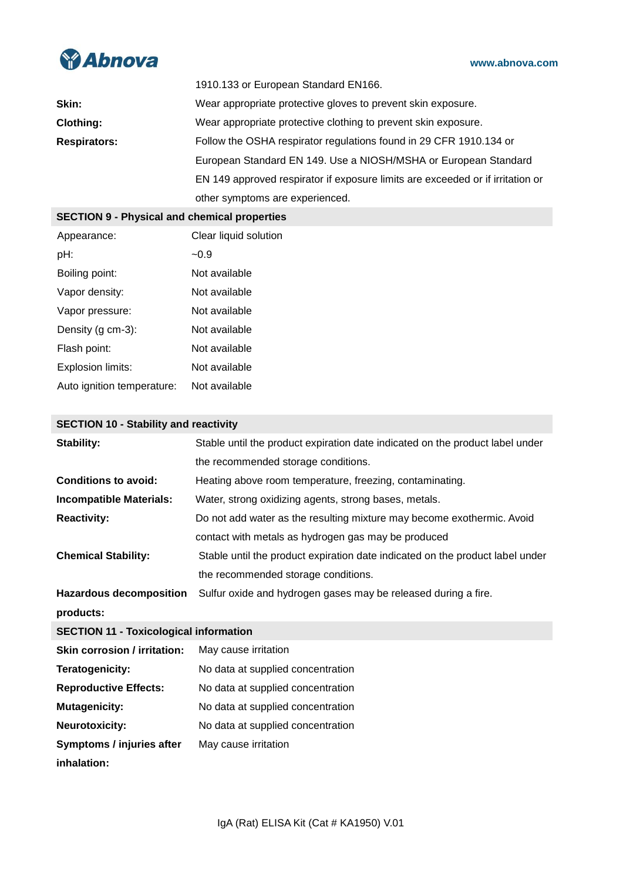

|                     | 1910.133 or European Standard EN166.                                           |
|---------------------|--------------------------------------------------------------------------------|
| Skin:               | Wear appropriate protective gloves to prevent skin exposure.                   |
| <b>Clothing:</b>    | Wear appropriate protective clothing to prevent skin exposure.                 |
| <b>Respirators:</b> | Follow the OSHA respirator regulations found in 29 CFR 1910.134 or             |
|                     | European Standard EN 149. Use a NIOSH/MSHA or European Standard                |
|                     | EN 149 approved respirator if exposure limits are exceeded or if irritation or |
|                     | other symptoms are experienced.                                                |

# **SECTION 9 - Physical and chemical properties**

| Appearance:                | Clear liquid solution |
|----------------------------|-----------------------|
| pH:                        | $-0.9$                |
| Boiling point:             | Not available         |
| Vapor density:             | Not available         |
| Vapor pressure:            | Not available         |
| Density (g cm-3):          | Not available         |
| Flash point:               | Not available         |
| Explosion limits:          | Not available         |
| Auto ignition temperature: | Not available         |

## **SECTION 10 - Stability and reactivity**

| <b>Stability:</b>                             | Stable until the product expiration date indicated on the product label under |
|-----------------------------------------------|-------------------------------------------------------------------------------|
|                                               | the recommended storage conditions.                                           |
| <b>Conditions to avoid:</b>                   | Heating above room temperature, freezing, contaminating.                      |
| <b>Incompatible Materials:</b>                | Water, strong oxidizing agents, strong bases, metals.                         |
| <b>Reactivity:</b>                            | Do not add water as the resulting mixture may become exothermic. Avoid        |
|                                               | contact with metals as hydrogen gas may be produced                           |
| <b>Chemical Stability:</b>                    | Stable until the product expiration date indicated on the product label under |
|                                               | the recommended storage conditions.                                           |
| <b>Hazardous decomposition</b>                | Sulfur oxide and hydrogen gases may be released during a fire.                |
| products:                                     |                                                                               |
| <b>SECTION 11 - Toxicological information</b> |                                                                               |
| <b>Skin corrosion / irritation:</b>           | May cause irritation                                                          |
| Teratogenicity:                               | No data at supplied concentration                                             |
| <b>Reproductive Effects:</b>                  | No data at supplied concentration                                             |
| <b>Mutagenicity:</b>                          | No data at supplied concentration                                             |
| <b>Neurotoxicity:</b>                         | No data at supplied concentration                                             |
| Symptoms / injuries after                     | May cause irritation                                                          |
| inhalation:                                   |                                                                               |